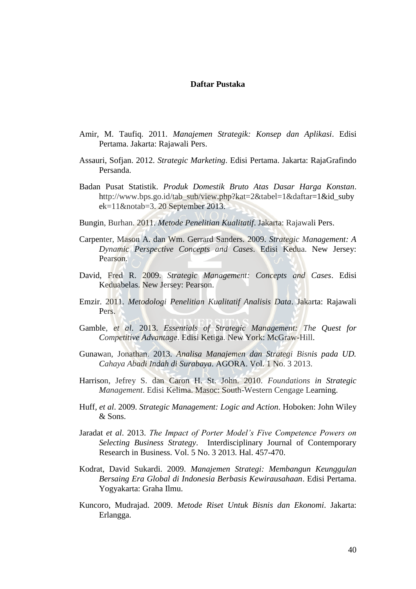## **Daftar Pustaka**

- Amir, M. Taufiq. 2011. *Manajemen Strategik: Konsep dan Aplikasi*. Edisi Pertama. Jakarta: Rajawali Pers.
- Assauri, Sofjan. 2012. *Strategic Marketing*. Edisi Pertama. Jakarta: RajaGrafindo Persanda.
- Badan Pusat Statistik. *Produk Domestik Bruto Atas Dasar Harga Konstan*. http://www.bps.go.id/tab\_sub/view.php?kat=2&tabel=1&daftar=1&id\_suby  $ek=11$ &notab=3. 20 September 2013.
- Bungin, Burhan. 2011. *Metode Penelitian Kualitatif*. Jakarta: Rajawali Pers.
- Carpenter, Mason A. dan Wm. Gerrard Sanders. 2009. *Strategic Management: A Dynamic Perspective Concepts and Cases*. Edisi Kedua. New Jersey: Pearson.
- David, Fred R. 2009. *Strategic Management: Concepts and Cases*. Edisi Keduabelas. New Jersey: Pearson.
- Emzir. 2011. *Metodologi Penelitian Kualitatif Analisis Data*. Jakarta: Rajawali Pers.
- Gamble, *et al*. 2013. *Essentials of Strategic Management: The Quest for Competitive Advantage*. Edisi Ketiga. New York: McGraw-Hill.
- Gunawan, Jonathan. 2013. *Analisa Manajemen dan Strategi Bisnis pada UD. Cahaya Abadi Indah di Surabaya*. AGORA. Vol. 1 No. 3 2013.
- Harrison, Jefrey S. dan Caron H. St. John. 2010. *Foundations in Strategic Management*. Edisi Kelima. Masoc: South-Western Cengage Learning.
- Huff, *et al*. 2009. *Strategic Management: Logic and Action*. Hoboken: John Wiley & Sons.
- Jaradat *et al*. 2013. *The Impact of Porter Model's Five Competence Powers on Selecting Business Strategy*. Interdisciplinary Journal of Contemporary Research in Business. Vol. 5 No. 3 2013. Hal. 457-470.
- Kodrat, David Sukardi. 2009. *Manajemen Strategi: Membangun Keunggulan Bersaing Era Global di Indonesia Berbasis Kewirausahaan*. Edisi Pertama. Yogyakarta: Graha Ilmu.
- Kuncoro, Mudrajad. 2009. *Metode Riset Untuk Bisnis dan Ekonomi*. Jakarta: Erlangga.